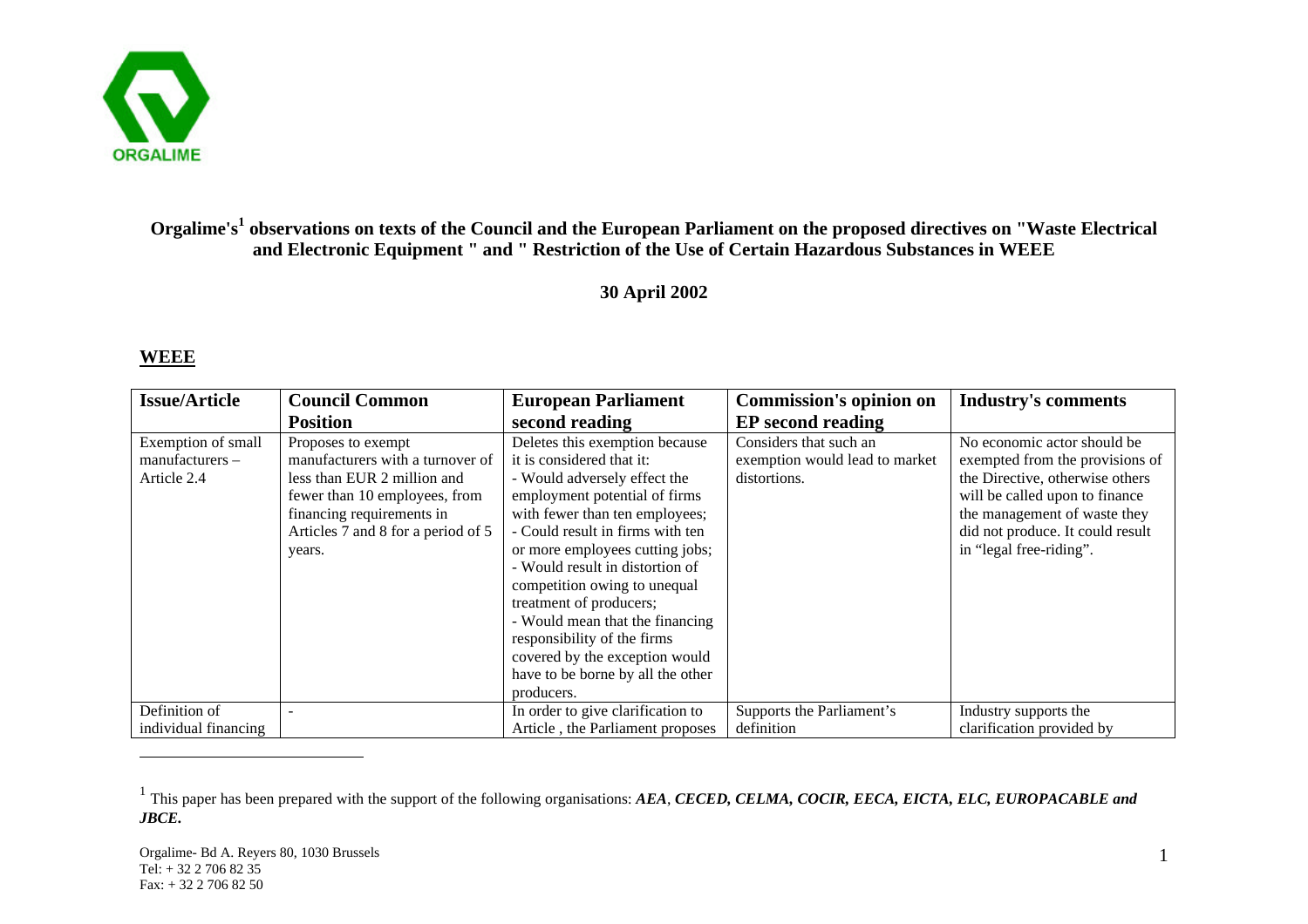

## **Orgalime's<sup>1</sup> observations on texts of the Council and the European Parliament on the proposed directives on "Waste Electrical and Electronic Equipment " and " Restriction of the Use of Certain Hazardous Substances in WEEE**

## **30 April 2002**

## **WEEE**

 $\overline{a}$ 

| <b>Issue/Article</b>                                 | <b>Council Common</b>                                                                                                                                                                               | <b>European Parliament</b>                                                                                                                                                                                                                                                                                                                                                                                                                                                                 | <b>Commission's opinion on</b>                                           | <b>Industry's comments</b>                                                                                                                                                                                                         |
|------------------------------------------------------|-----------------------------------------------------------------------------------------------------------------------------------------------------------------------------------------------------|--------------------------------------------------------------------------------------------------------------------------------------------------------------------------------------------------------------------------------------------------------------------------------------------------------------------------------------------------------------------------------------------------------------------------------------------------------------------------------------------|--------------------------------------------------------------------------|------------------------------------------------------------------------------------------------------------------------------------------------------------------------------------------------------------------------------------|
|                                                      | <b>Position</b>                                                                                                                                                                                     | second reading                                                                                                                                                                                                                                                                                                                                                                                                                                                                             | <b>EP</b> second reading                                                 |                                                                                                                                                                                                                                    |
| Exemption of small<br>manufacturers -<br>Article 2.4 | Proposes to exempt<br>manufacturers with a turnover of<br>less than EUR 2 million and<br>fewer than 10 employees, from<br>financing requirements in<br>Articles 7 and 8 for a period of 5<br>years. | Deletes this exemption because<br>it is considered that it:<br>- Would adversely effect the<br>employment potential of firms<br>with fewer than ten employees;<br>- Could result in firms with ten<br>or more employees cutting jobs;<br>- Would result in distortion of<br>competition owing to unequal<br>treatment of producers;<br>- Would mean that the financing<br>responsibility of the firms<br>covered by the exception would<br>have to be borne by all the other<br>producers. | Considers that such an<br>exemption would lead to market<br>distortions. | No economic actor should be<br>exempted from the provisions of<br>the Directive, otherwise others<br>will be called upon to finance<br>the management of waste they<br>did not produce. It could result<br>in "legal free-riding". |
| Definition of<br>individual financing                |                                                                                                                                                                                                     | In order to give clarification to<br>Article, the Parliament proposes                                                                                                                                                                                                                                                                                                                                                                                                                      | Supports the Parliament's<br>definition                                  | Industry supports the<br>clarification provided by                                                                                                                                                                                 |
|                                                      |                                                                                                                                                                                                     |                                                                                                                                                                                                                                                                                                                                                                                                                                                                                            |                                                                          |                                                                                                                                                                                                                                    |

<sup>&</sup>lt;sup>1</sup> This paper has been prepared with the support of the following organisations: *AEA*, *CECED*, *CELMA*, *COCIR*, *EECA*, *EICTA*, *ELC*, *EUROPACABLE and JBCE.*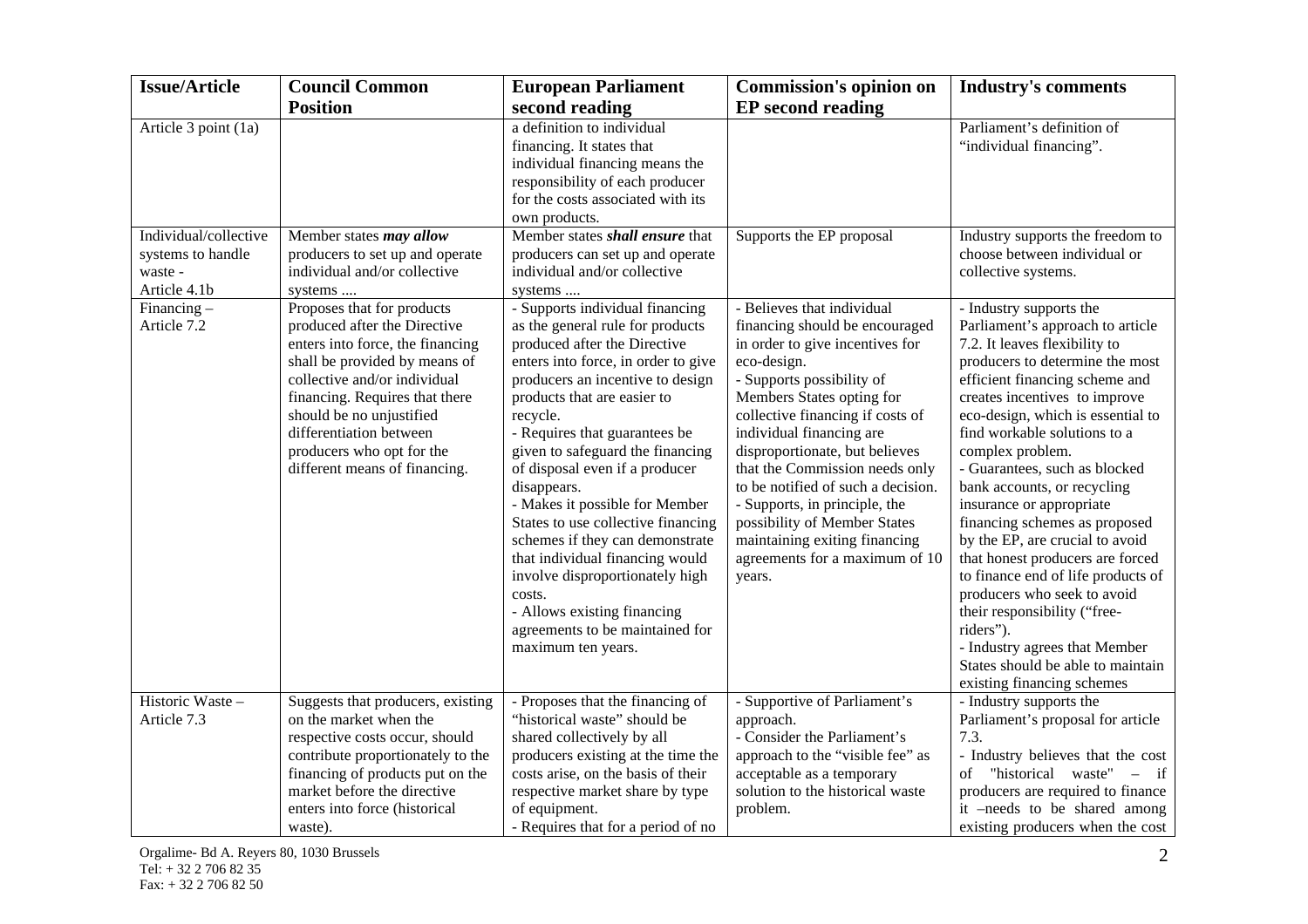| <b>Issue/Article</b>                                                  | <b>Council Common</b>                                                                                                                                                                                                                                                                                                  | <b>European Parliament</b>                                                                                                                                                                                                                                                                                                                                                                                                                                                                                                                                                                                                         | <b>Commission's opinion on</b>                                                                                                                                                                                                                                                                                                                                                                                                                                                                   | <b>Industry's comments</b>                                                                                                                                                                                                                                                                                                                                                                                                                                                                                                                                                                                                                                                                                            |
|-----------------------------------------------------------------------|------------------------------------------------------------------------------------------------------------------------------------------------------------------------------------------------------------------------------------------------------------------------------------------------------------------------|------------------------------------------------------------------------------------------------------------------------------------------------------------------------------------------------------------------------------------------------------------------------------------------------------------------------------------------------------------------------------------------------------------------------------------------------------------------------------------------------------------------------------------------------------------------------------------------------------------------------------------|--------------------------------------------------------------------------------------------------------------------------------------------------------------------------------------------------------------------------------------------------------------------------------------------------------------------------------------------------------------------------------------------------------------------------------------------------------------------------------------------------|-----------------------------------------------------------------------------------------------------------------------------------------------------------------------------------------------------------------------------------------------------------------------------------------------------------------------------------------------------------------------------------------------------------------------------------------------------------------------------------------------------------------------------------------------------------------------------------------------------------------------------------------------------------------------------------------------------------------------|
|                                                                       | <b>Position</b>                                                                                                                                                                                                                                                                                                        | second reading                                                                                                                                                                                                                                                                                                                                                                                                                                                                                                                                                                                                                     | <b>EP</b> second reading                                                                                                                                                                                                                                                                                                                                                                                                                                                                         |                                                                                                                                                                                                                                                                                                                                                                                                                                                                                                                                                                                                                                                                                                                       |
| Article 3 point (1a)                                                  |                                                                                                                                                                                                                                                                                                                        | a definition to individual<br>financing. It states that<br>individual financing means the<br>responsibility of each producer<br>for the costs associated with its<br>own products.                                                                                                                                                                                                                                                                                                                                                                                                                                                 |                                                                                                                                                                                                                                                                                                                                                                                                                                                                                                  | Parliament's definition of<br>"individual financing".                                                                                                                                                                                                                                                                                                                                                                                                                                                                                                                                                                                                                                                                 |
| Individual/collective<br>systems to handle<br>waste -<br>Article 4.1b | Member states may allow<br>producers to set up and operate<br>individual and/or collective<br>systems                                                                                                                                                                                                                  | Member states shall ensure that<br>producers can set up and operate<br>individual and/or collective<br>systems                                                                                                                                                                                                                                                                                                                                                                                                                                                                                                                     | Supports the EP proposal                                                                                                                                                                                                                                                                                                                                                                                                                                                                         | Industry supports the freedom to<br>choose between individual or<br>collective systems.                                                                                                                                                                                                                                                                                                                                                                                                                                                                                                                                                                                                                               |
| Financing $-$<br>Article 7.2                                          | Proposes that for products<br>produced after the Directive<br>enters into force, the financing<br>shall be provided by means of<br>collective and/or individual<br>financing. Requires that there<br>should be no unjustified<br>differentiation between<br>producers who opt for the<br>different means of financing. | - Supports individual financing<br>as the general rule for products<br>produced after the Directive<br>enters into force, in order to give<br>producers an incentive to design<br>products that are easier to<br>recycle.<br>- Requires that guarantees be<br>given to safeguard the financing<br>of disposal even if a producer<br>disappears.<br>- Makes it possible for Member<br>States to use collective financing<br>schemes if they can demonstrate<br>that individual financing would<br>involve disproportionately high<br>costs.<br>- Allows existing financing<br>agreements to be maintained for<br>maximum ten years. | - Believes that individual<br>financing should be encouraged<br>in order to give incentives for<br>eco-design.<br>- Supports possibility of<br>Members States opting for<br>collective financing if costs of<br>individual financing are<br>disproportionate, but believes<br>that the Commission needs only<br>to be notified of such a decision.<br>- Supports, in principle, the<br>possibility of Member States<br>maintaining exiting financing<br>agreements for a maximum of 10<br>years. | - Industry supports the<br>Parliament's approach to article<br>7.2. It leaves flexibility to<br>producers to determine the most<br>efficient financing scheme and<br>creates incentives to improve<br>eco-design, which is essential to<br>find workable solutions to a<br>complex problem.<br>- Guarantees, such as blocked<br>bank accounts, or recycling<br>insurance or appropriate<br>financing schemes as proposed<br>by the EP, are crucial to avoid<br>that honest producers are forced<br>to finance end of life products of<br>producers who seek to avoid<br>their responsibility ("free-<br>riders").<br>- Industry agrees that Member<br>States should be able to maintain<br>existing financing schemes |
| Historic Waste -<br>Article 7.3                                       | Suggests that producers, existing<br>on the market when the<br>respective costs occur, should<br>contribute proportionately to the<br>financing of products put on the<br>market before the directive<br>enters into force (historical<br>waste).                                                                      | - Proposes that the financing of<br>"historical waste" should be<br>shared collectively by all<br>producers existing at the time the<br>costs arise, on the basis of their<br>respective market share by type<br>of equipment.<br>- Requires that for a period of no                                                                                                                                                                                                                                                                                                                                                               | - Supportive of Parliament's<br>approach.<br>- Consider the Parliament's<br>approach to the "visible fee" as<br>acceptable as a temporary<br>solution to the historical waste<br>problem.                                                                                                                                                                                                                                                                                                        | - Industry supports the<br>Parliament's proposal for article<br>7.3.<br>- Industry believes that the cost<br>"historical waste" – if<br>of<br>producers are required to finance<br>it -needs to be shared among<br>existing producers when the cost                                                                                                                                                                                                                                                                                                                                                                                                                                                                   |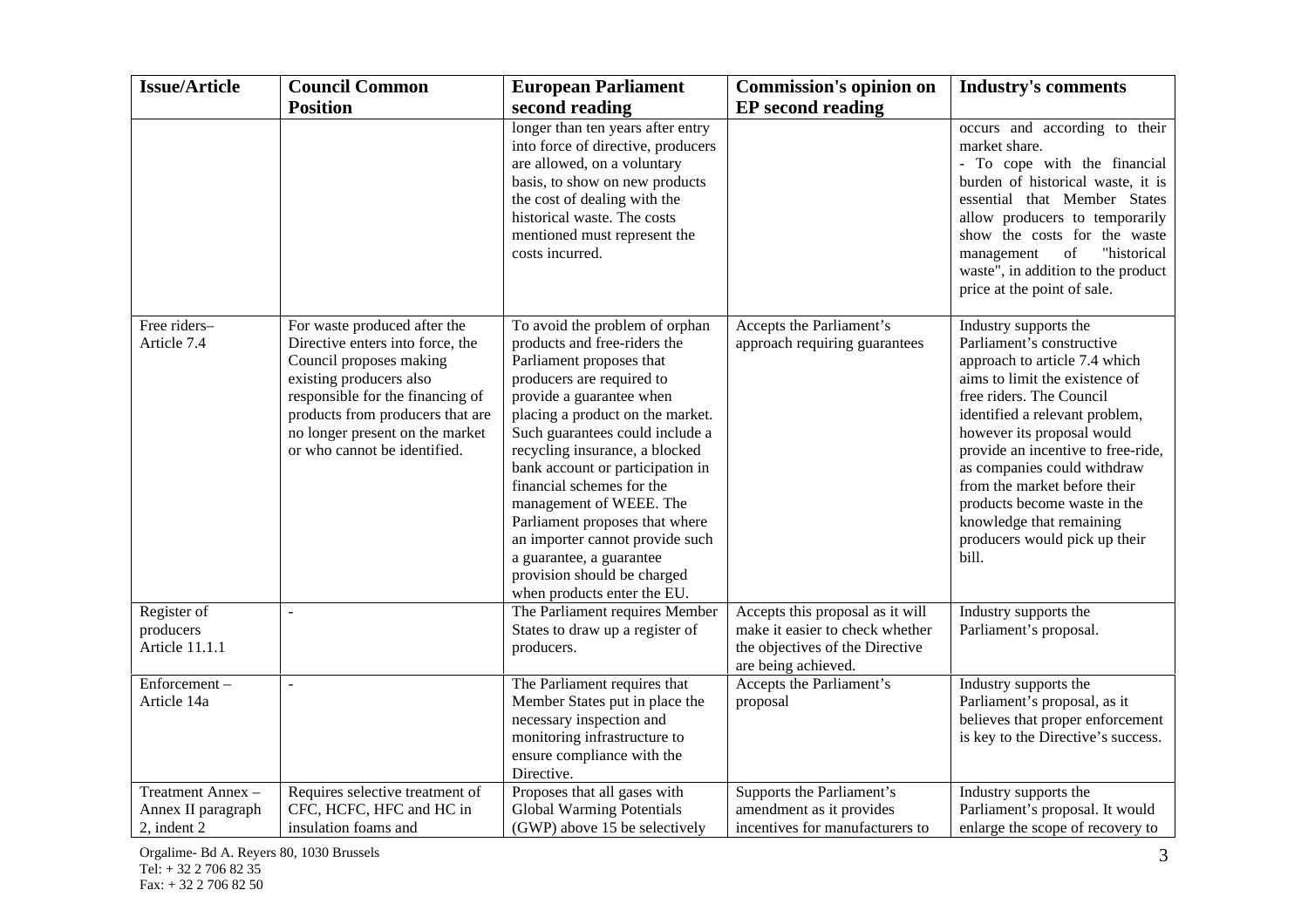| <b>Issue/Article</b>                                  | <b>Council Common</b>                                                                                                                                                                                                                                             | <b>European Parliament</b>                                                                                                                                                                                                                                                                                                                                                                                                                                                                                              | <b>Commission's opinion on</b>                                                                                                | <b>Industry's comments</b>                                                                                                                                                                                                                                                                                                                                                                                                   |
|-------------------------------------------------------|-------------------------------------------------------------------------------------------------------------------------------------------------------------------------------------------------------------------------------------------------------------------|-------------------------------------------------------------------------------------------------------------------------------------------------------------------------------------------------------------------------------------------------------------------------------------------------------------------------------------------------------------------------------------------------------------------------------------------------------------------------------------------------------------------------|-------------------------------------------------------------------------------------------------------------------------------|------------------------------------------------------------------------------------------------------------------------------------------------------------------------------------------------------------------------------------------------------------------------------------------------------------------------------------------------------------------------------------------------------------------------------|
|                                                       | <b>Position</b>                                                                                                                                                                                                                                                   | second reading                                                                                                                                                                                                                                                                                                                                                                                                                                                                                                          | <b>EP</b> second reading                                                                                                      |                                                                                                                                                                                                                                                                                                                                                                                                                              |
|                                                       |                                                                                                                                                                                                                                                                   | longer than ten years after entry<br>into force of directive, producers<br>are allowed, on a voluntary<br>basis, to show on new products<br>the cost of dealing with the<br>historical waste. The costs<br>mentioned must represent the<br>costs incurred.                                                                                                                                                                                                                                                              |                                                                                                                               | occurs and according to their<br>market share.<br>- To cope with the financial<br>burden of historical waste, it is<br>essential that Member States<br>allow producers to temporarily<br>show the costs for the waste<br>"historical<br>management<br>of<br>waste", in addition to the product<br>price at the point of sale.                                                                                                |
| Free riders-<br>Article 7.4                           | For waste produced after the<br>Directive enters into force, the<br>Council proposes making<br>existing producers also<br>responsible for the financing of<br>products from producers that are<br>no longer present on the market<br>or who cannot be identified. | To avoid the problem of orphan<br>products and free-riders the<br>Parliament proposes that<br>producers are required to<br>provide a guarantee when<br>placing a product on the market.<br>Such guarantees could include a<br>recycling insurance, a blocked<br>bank account or participation in<br>financial schemes for the<br>management of WEEE. The<br>Parliament proposes that where<br>an importer cannot provide such<br>a guarantee, a guarantee<br>provision should be charged<br>when products enter the EU. | Accepts the Parliament's<br>approach requiring guarantees                                                                     | Industry supports the<br>Parliament's constructive<br>approach to article 7.4 which<br>aims to limit the existence of<br>free riders. The Council<br>identified a relevant problem,<br>however its proposal would<br>provide an incentive to free-ride,<br>as companies could withdraw<br>from the market before their<br>products become waste in the<br>knowledge that remaining<br>producers would pick up their<br>bill. |
| Register of<br>producers<br>Article 11.1.1            |                                                                                                                                                                                                                                                                   | The Parliament requires Member<br>States to draw up a register of<br>producers.                                                                                                                                                                                                                                                                                                                                                                                                                                         | Accepts this proposal as it will<br>make it easier to check whether<br>the objectives of the Directive<br>are being achieved. | Industry supports the<br>Parliament's proposal.                                                                                                                                                                                                                                                                                                                                                                              |
| Enforcement-<br>Article 14a                           |                                                                                                                                                                                                                                                                   | The Parliament requires that<br>Member States put in place the<br>necessary inspection and<br>monitoring infrastructure to<br>ensure compliance with the<br>Directive.                                                                                                                                                                                                                                                                                                                                                  | Accepts the Parliament's<br>proposal                                                                                          | Industry supports the<br>Parliament's proposal, as it<br>believes that proper enforcement<br>is key to the Directive's success.                                                                                                                                                                                                                                                                                              |
| Treatment Annex-<br>Annex II paragraph<br>2, indent 2 | Requires selective treatment of<br>CFC, HCFC, HFC and HC in<br>insulation foams and                                                                                                                                                                               | Proposes that all gases with<br><b>Global Warming Potentials</b><br>(GWP) above 15 be selectively                                                                                                                                                                                                                                                                                                                                                                                                                       | Supports the Parliament's<br>amendment as it provides<br>incentives for manufacturers to                                      | Industry supports the<br>Parliament's proposal. It would<br>enlarge the scope of recovery to                                                                                                                                                                                                                                                                                                                                 |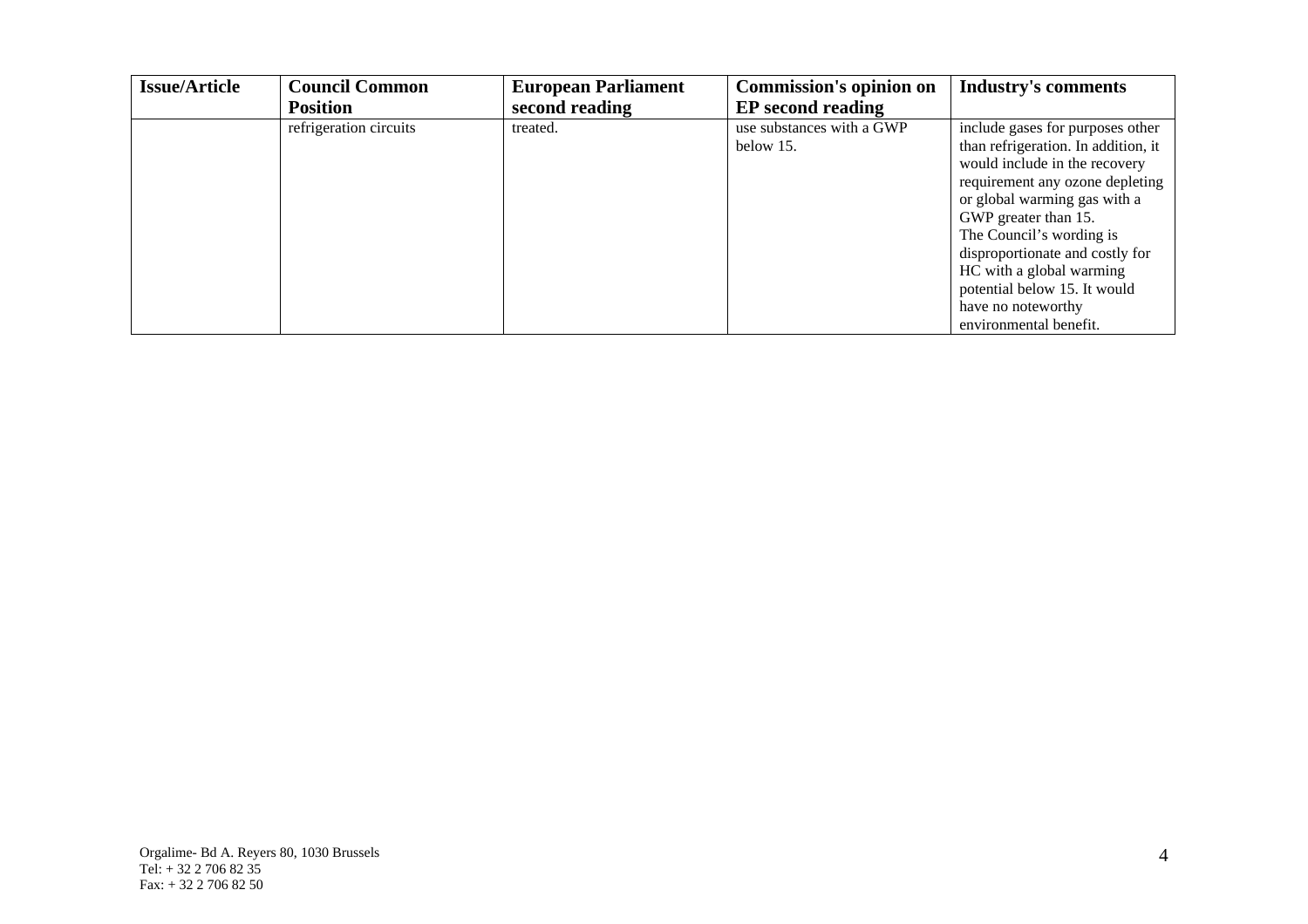| <b>Issue/Article</b> | <b>Council Common</b>  | <b>European Parliament</b> | <b>Commission's opinion on</b> | <b>Industry's comments</b>          |
|----------------------|------------------------|----------------------------|--------------------------------|-------------------------------------|
|                      | <b>Position</b>        | second reading             | <b>EP</b> second reading       |                                     |
|                      | refrigeration circuits | treated.                   | use substances with a GWP      | include gases for purposes other    |
|                      |                        |                            | below 15.                      | than refrigeration. In addition, it |
|                      |                        |                            |                                | would include in the recovery       |
|                      |                        |                            |                                | requirement any ozone depleting     |
|                      |                        |                            |                                | or global warming gas with a        |
|                      |                        |                            |                                | GWP greater than 15.                |
|                      |                        |                            |                                | The Council's wording is            |
|                      |                        |                            |                                | disproportionate and costly for     |
|                      |                        |                            |                                | HC with a global warming            |
|                      |                        |                            |                                | potential below 15. It would        |
|                      |                        |                            |                                | have no noteworthy                  |
|                      |                        |                            |                                | environmental benefit.              |